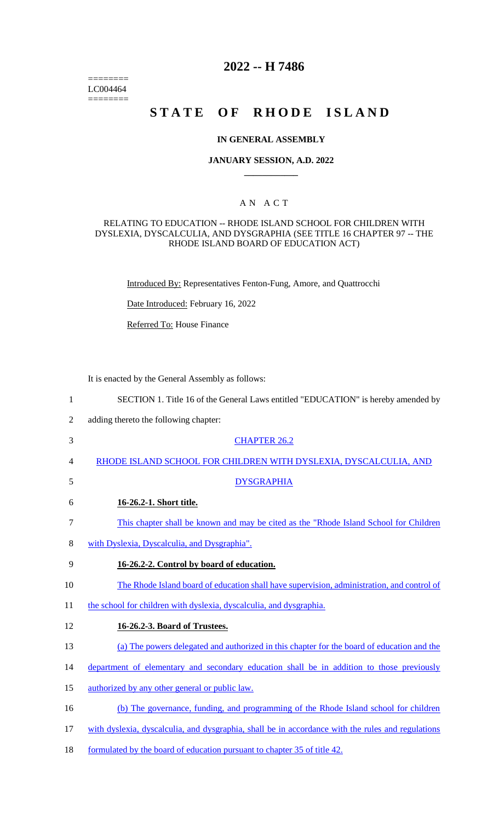======== LC004464 ========

## **2022 -- H 7486**

# STATE OF RHODE ISLAND

### **IN GENERAL ASSEMBLY**

#### **JANUARY SESSION, A.D. 2022 \_\_\_\_\_\_\_\_\_\_\_\_**

## A N A C T

### RELATING TO EDUCATION -- RHODE ISLAND SCHOOL FOR CHILDREN WITH DYSLEXIA, DYSCALCULIA, AND DYSGRAPHIA (SEE TITLE 16 CHAPTER 97 -- THE RHODE ISLAND BOARD OF EDUCATION ACT)

Introduced By: Representatives Fenton-Fung, Amore, and Quattrocchi

Date Introduced: February 16, 2022

Referred To: House Finance

It is enacted by the General Assembly as follows:

| SECTION 1. Title 16 of the General Laws entitled "EDUCATION" is hereby amended by |
|-----------------------------------------------------------------------------------|
|-----------------------------------------------------------------------------------|

- 2 adding thereto the following chapter:
- 3 CHAPTER 26.2
- 4 RHODE ISLAND SCHOOL FOR CHILDREN WITH DYSLEXIA, DYSCALCULIA, AND
- 
- 5 DYSGRAPHIA
- 6 **16-26.2-1. Short title.**
- 7 This chapter shall be known and may be cited as the "Rhode Island School for Children
- 8 with Dyslexia, Dyscalculia, and Dysgraphia".
- 9 **16-26.2-2. Control by board of education.**
- 10 The Rhode Island board of education shall have supervision, administration, and control of
- 11 the school for children with dyslexia, dyscalculia, and dysgraphia.
- 12 **16-26.2-3. Board of Trustees.**
- 13 (a) The powers delegated and authorized in this chapter for the board of education and the
- 14 department of elementary and secondary education shall be in addition to those previously
- 15 authorized by any other general or public law.
- 16 (b) The governance, funding, and programming of the Rhode Island school for children
- 17 with dyslexia, dyscalculia, and dysgraphia, shall be in accordance with the rules and regulations
- 18 formulated by the board of education pursuant to chapter 35 of title 42.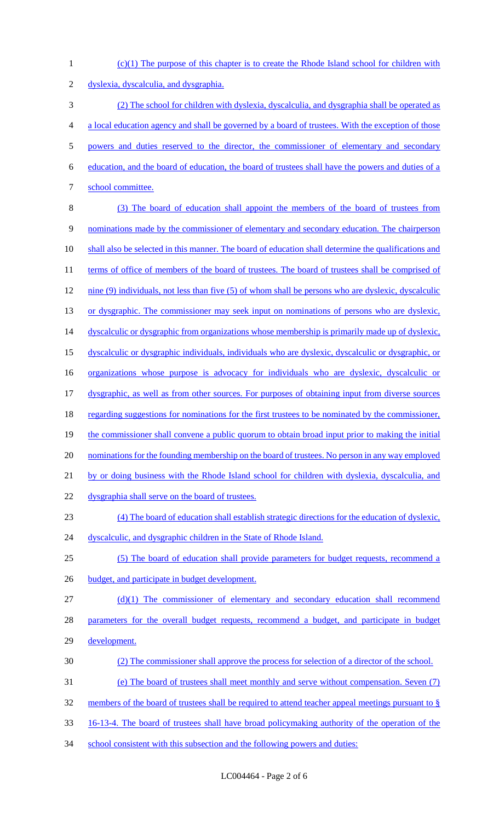(c)(1) The purpose of this chapter is to create the Rhode Island school for children with dyslexia, dyscalculia, and dysgraphia. (2) The school for children with dyslexia, dyscalculia, and dysgraphia shall be operated as a local education agency and shall be governed by a board of trustees. With the exception of those powers and duties reserved to the director, the commissioner of elementary and secondary education, and the board of education, the board of trustees shall have the powers and duties of a school committee. (3) The board of education shall appoint the members of the board of trustees from nominations made by the commissioner of elementary and secondary education. The chairperson 10 shall also be selected in this manner. The board of education shall determine the qualifications and 11 terms of office of members of the board of trustees. The board of trustees shall be comprised of nine (9) individuals, not less than five (5) of whom shall be persons who are dyslexic, dyscalculic 13 or dysgraphic. The commissioner may seek input on nominations of persons who are dyslexic, 14 dyscalculic or dysgraphic from organizations whose membership is primarily made up of dyslexic, dyscalculic or dysgraphic individuals, individuals who are dyslexic, dyscalculic or dysgraphic, or organizations whose purpose is advocacy for individuals who are dyslexic, dyscalculic or dysgraphic, as well as from other sources. For purposes of obtaining input from diverse sources 18 regarding suggestions for nominations for the first trustees to be nominated by the commissioner, 19 the commissioner shall convene a public quorum to obtain broad input prior to making the initial 20 nominations for the founding membership on the board of trustees. No person in any way employed by or doing business with the Rhode Island school for children with dyslexia, dyscalculia, and dysgraphia shall serve on the board of trustees. (4) The board of education shall establish strategic directions for the education of dyslexic, 24 dyscalculic, and dysgraphic children in the State of Rhode Island. (5) The board of education shall provide parameters for budget requests, recommend a 26 budget, and participate in budget development. (d)(1) The commissioner of elementary and secondary education shall recommend parameters for the overall budget requests, recommend a budget, and participate in budget development. (2) The commissioner shall approve the process for selection of a director of the school. (e) The board of trustees shall meet monthly and serve without compensation. Seven (7) members of the board of trustees shall be required to attend teacher appeal meetings pursuant to § 16-13-4. The board of trustees shall have broad policymaking authority of the operation of the 34 school consistent with this subsection and the following powers and duties: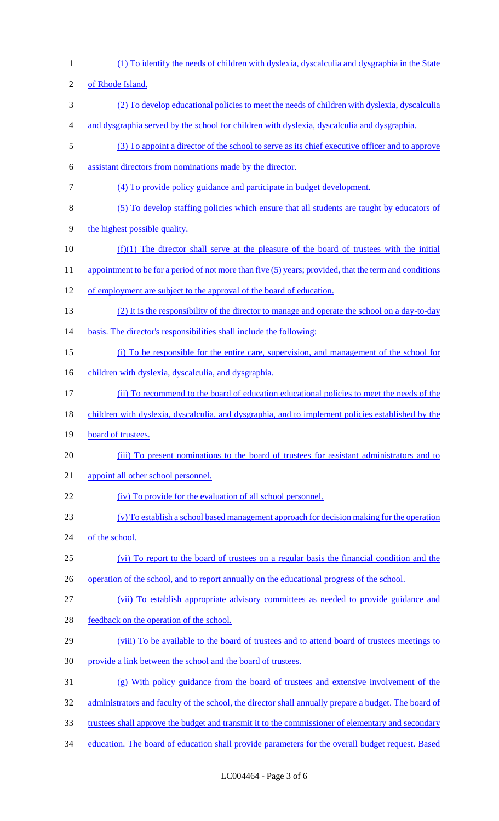(1) To identify the needs of children with dyslexia, dyscalculia and dysgraphia in the State of Rhode Island. (2) To develop educational policies to meet the needs of children with dyslexia, dyscalculia and dysgraphia served by the school for children with dyslexia, dyscalculia and dysgraphia. (3) To appoint a director of the school to serve as its chief executive officer and to approve assistant directors from nominations made by the director. (4) To provide policy guidance and participate in budget development. (5) To develop staffing policies which ensure that all students are taught by educators of the highest possible quality. (f)(1) The director shall serve at the pleasure of the board of trustees with the initial 11 appointment to be for a period of not more than five (5) years; provided, that the term and conditions of employment are subject to the approval of the board of education. (2) It is the responsibility of the director to manage and operate the school on a day-to-day basis. The director's responsibilities shall include the following: (i) To be responsible for the entire care, supervision, and management of the school for 16 children with dyslexia, dyscalculia, and dysgraphia. (ii) To recommend to the board of education educational policies to meet the needs of the children with dyslexia, dyscalculia, and dysgraphia, and to implement policies established by the 19 board of trustees. (iii) To present nominations to the board of trustees for assistant administrators and to appoint all other school personnel. 22 (iv) To provide for the evaluation of all school personnel. (v) To establish a school based management approach for decision making for the operation 24 of the school. (vi) To report to the board of trustees on a regular basis the financial condition and the 26 operation of the school, and to report annually on the educational progress of the school. (vii) To establish appropriate advisory committees as needed to provide guidance and feedback on the operation of the school. (viii) To be available to the board of trustees and to attend board of trustees meetings to provide a link between the school and the board of trustees. (g) With policy guidance from the board of trustees and extensive involvement of the 32 administrators and faculty of the school, the director shall annually prepare a budget. The board of trustees shall approve the budget and transmit it to the commissioner of elementary and secondary 34 education. The board of education shall provide parameters for the overall budget request. Based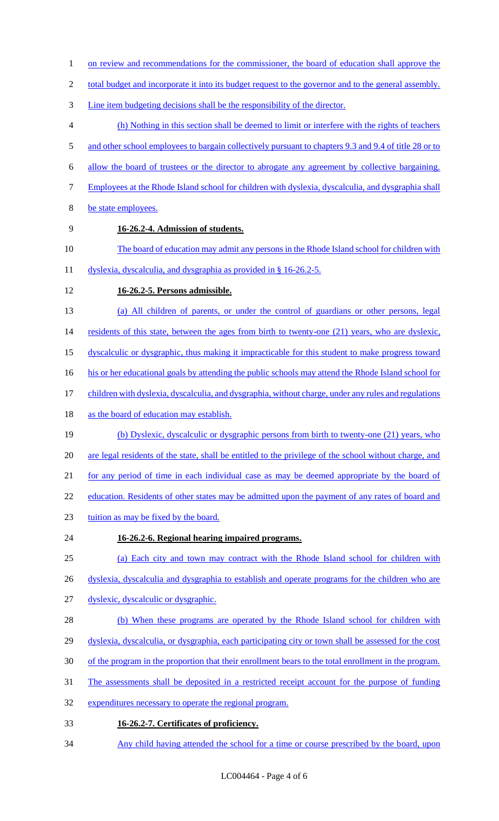- 1 on review and recommendations for the commissioner, the board of education shall approve the
- 2 total budget and incorporate it into its budget request to the governor and to the general assembly.
- Line item budgeting decisions shall be the responsibility of the director.
- (h) Nothing in this section shall be deemed to limit or interfere with the rights of teachers
- 5 and other school employees to bargain collectively pursuant to chapters 9.3 and 9.4 of title 28 or to
- allow the board of trustees or the director to abrogate any agreement by collective bargaining.
- Employees at the Rhode Island school for children with dyslexia, dyscalculia, and dysgraphia shall
- be state employees.
- 

## **16-26.2-4. Admission of students.**

- 10 The board of education may admit any persons in the Rhode Island school for children with
- 11 dyslexia, dyscalculia, and dysgraphia as provided in § 16-26.2-5.
- **16-26.2-5. Persons admissible.**
- (a) All children of parents, or under the control of guardians or other persons, legal
- 14 residents of this state, between the ages from birth to twenty-one (21) years, who are dyslexic,
- dyscalculic or dysgraphic, thus making it impracticable for this student to make progress toward
- 16 his or her educational goals by attending the public schools may attend the Rhode Island school for
- children with dyslexia, dyscalculia, and dysgraphia, without charge, under any rules and regulations
- 18 as the board of education may establish.
- (b) Dyslexic, dyscalculic or dysgraphic persons from birth to twenty-one (21) years, who are legal residents of the state, shall be entitled to the privilege of the school without charge, and for any period of time in each individual case as may be deemed appropriate by the board of 22 education. Residents of other states may be admitted upon the payment of any rates of board and
- tuition as may be fixed by the board.
- **16-26.2-6. Regional hearing impaired programs.**
- (a) Each city and town may contract with the Rhode Island school for children with
- 26 dyslexia, dyscalculia and dysgraphia to establish and operate programs for the children who are
- dyslexic, dyscalculic or dysgraphic.
- 28 (b) When these programs are operated by the Rhode Island school for children with
- dyslexia, dyscalculia, or dysgraphia, each participating city or town shall be assessed for the cost
- of the program in the proportion that their enrollment bears to the total enrollment in the program.
- The assessments shall be deposited in a restricted receipt account for the purpose of funding
- expenditures necessary to operate the regional program.
- **16-26.2-7. Certificates of proficiency.**
- Any child having attended the school for a time or course prescribed by the board, upon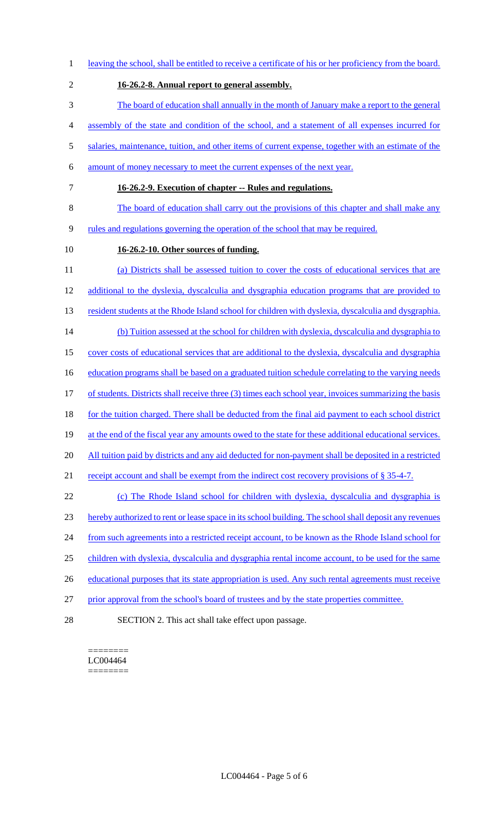leaving the school, shall be entitled to receive a certificate of his or her proficiency from the board. **16-26.2-8. Annual report to general assembly.**  The board of education shall annually in the month of January make a report to the general assembly of the state and condition of the school, and a statement of all expenses incurred for salaries, maintenance, tuition, and other items of current expense, together with an estimate of the amount of money necessary to meet the current expenses of the next year. **16-26.2-9. Execution of chapter -- Rules and regulations.**  The board of education shall carry out the provisions of this chapter and shall make any rules and regulations governing the operation of the school that may be required. **16-26.2-10. Other sources of funding.**  (a) Districts shall be assessed tuition to cover the costs of educational services that are additional to the dyslexia, dyscalculia and dysgraphia education programs that are provided to 13 resident students at the Rhode Island school for children with dyslexia, dyscalculia and dysgraphia. 14 (b) Tuition assessed at the school for children with dyslexia, dyscalculia and dysgraphia to cover costs of educational services that are additional to the dyslexia, dyscalculia and dysgraphia 16 education programs shall be based on a graduated tuition schedule correlating to the varying needs 17 of students. Districts shall receive three (3) times each school year, invoices summarizing the basis for the tuition charged. There shall be deducted from the final aid payment to each school district 19 at the end of the fiscal year any amounts owed to the state for these additional educational services. 20 All tuition paid by districts and any aid deducted for non-payment shall be deposited in a restricted 21 receipt account and shall be exempt from the indirect cost recovery provisions of § 35-4-7. (c) The Rhode Island school for children with dyslexia, dyscalculia and dysgraphia is hereby authorized to rent or lease space in its school building. The school shall deposit any revenues 24 from such agreements into a restricted receipt account, to be known as the Rhode Island school for children with dyslexia, dyscalculia and dysgraphia rental income account, to be used for the same 26 educational purposes that its state appropriation is used. Any such rental agreements must receive prior approval from the school's board of trustees and by the state properties committee. SECTION 2. This act shall take effect upon passage.

======== LC004464 ========